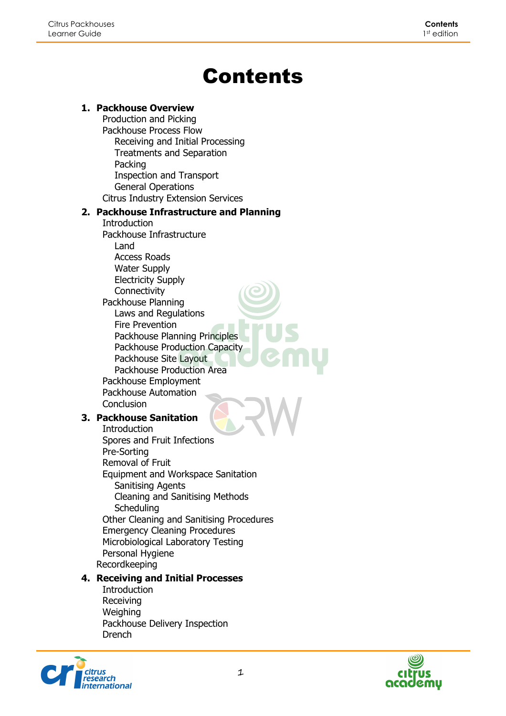# Contents

#### **1. Packhouse Overview**

Production and Picking Packhouse Process Flow Receiving and Initial Processing Treatments and Separation Packing Inspection and Transport General Operations Citrus Industry Extension Services

#### **2. Packhouse Infrastructure and Planning**

Introduction Packhouse Infrastructure Land Access Roads Water Supply Electricity Supply **Connectivity** Packhouse Planning Laws and Regulations Fire Prevention Packhouse Planning Principles Packhouse Production Capacity Packhouse Site Layout Packhouse Production Area Packhouse Employment Packhouse Automation Conclusion

# **3. Packhouse Sanitation**

**Introduction** Spores and Fruit Infections Pre-Sorting Removal of Fruit Equipment and Workspace Sanitation Sanitising Agents Cleaning and Sanitising Methods **Scheduling** Other Cleaning and Sanitising Procedures Emergency Cleaning Procedures Microbiological Laboratory Testing Personal Hygiene Recordkeeping

# **4. Receiving and Initial Processes**

**Introduction** Receiving **Weighing** Packhouse Delivery Inspection Drench



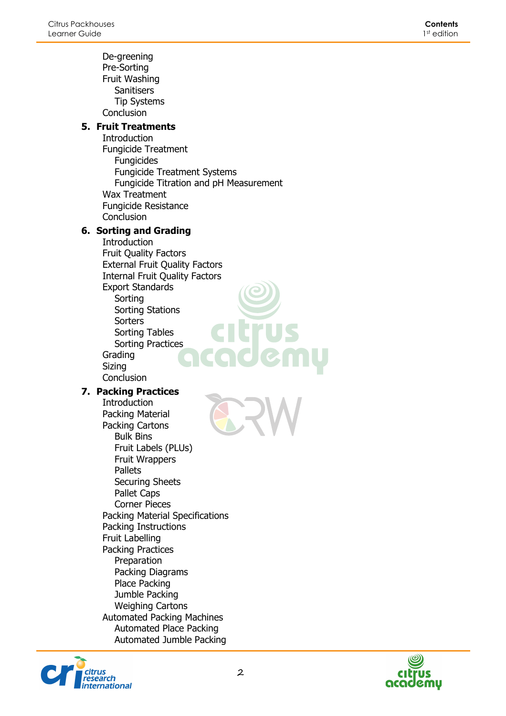De-greening Pre-Sorting Fruit Washing **Sanitisers** Tip Systems **Conclusion** 

# **5. Fruit Treatments**

Introduction Fungicide Treatment Fungicides Fungicide Treatment Systems Fungicide Titration and pH Measurement Wax Treatment Fungicide Resistance **Conclusion** 

# **6. Sorting and Grading**

Introduction Fruit Quality Factors External Fruit Quality Factors Internal Fruit Quality Factors Export Standards Sorting Sorting Stations **Sorters** Sorting Tables Sorting Practices Grading Sizing **Conclusion** 

#### **7. Packing Practices**

Introduction Packing Material Packing Cartons Bulk Bins Fruit Labels (PLUs) Fruit Wrappers **Pallets** Securing Sheets Pallet Caps Corner Pieces Packing Material Specifications Packing Instructions Fruit Labelling Packing Practices Preparation Packing Diagrams Place Packing Jumble Packing Weighing Cartons Automated Packing Machines Automated Place Packing Automated Jumble Packing